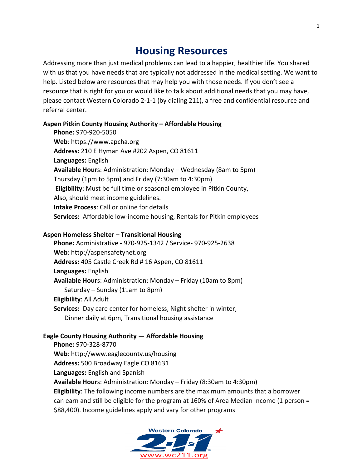# **Housing Resources**

Addressing more than just medical problems can lead to a happier, healthier life. You shared with us that you have needs that are typically not addressed in the medical setting. We want to help. Listed below are resources that may help you with those needs. If you don't see a resource that is right for you or would like to talk about additional needs that you may have, please contact Western Colorado 2-1-1 (by dialing 211), a free and confidential resource and referral center.

# **Aspen Pitkin County Housing Authority – Affordable Housing**

**Phone:** 970-920-5050 Web: https://www.apcha.org **Address:** 210 E Hyman Ave #202 Aspen, CO 81611 **Languages:** English **Available Hour**s: Administration: Monday – Wednesday (8am to 5pm) Thursday (1pm to 5pm) and Friday (7:30am to 4:30pm) **Eligibility:** Must be full time or seasonal employee in Pitkin County, Also, should meet income guidelines. **Intake Process:** Call or online for details **Services:** Affordable low-income housing, Rentals for Pitkin employees

## **Aspen Homeless Shelter – Transitional Housing**

**Phone:** Administrative - 970-925-1342 / Service- 970-925-2638 Web: http://aspensafetynet.org Address: 405 Castle Creek Rd # 16 Aspen, CO 81611 **Languages:** English **Available Hour**s: Administration: Monday – Friday (10am to 8pm) Saturday – Sunday (11am to 8pm) **Eligibility: All Adult Services:** Day care center for homeless, Night shelter in winter, Dinner daily at 6pm, Transitional housing assistance

# **Eagle County Housing Authority — Affordable Housing**

**Phone:** 970-328-8770 **Web**: http://www.eaglecounty.us/housing Address: 500 Broadway Eagle CO 81631 Languages: English and Spanish **Available Hour**s: Administration: Monday – Friday (8:30am to 4:30pm) **Eligibility**: The following income numbers are the maximum amounts that a borrower can earn and still be eligible for the program at 160% of Area Median Income (1 person = \$88,400). Income guidelines apply and vary for other programs

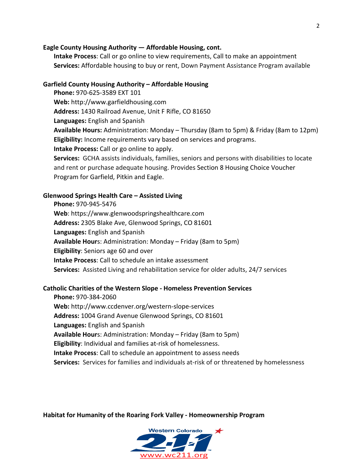## **Eagle County Housing Authority — Affordable Housing, cont.**

**Intake Process:** Call or go online to view requirements, Call to make an appointment **Services:** Affordable housing to buy or rent, Down Payment Assistance Program available

## Garfield County Housing Authority - Affordable Housing

**Phone: 970-625-3589 EXT 101 Web:** http://www.garfieldhousing.com Address: 1430 Railroad Avenue, Unit F Rifle, CO 81650 **Languages:** English and Spanish **Available Hours:** Administration: Monday – Thursday (8am to 5pm) & Friday (8am to 12pm) **Eligibility:** Income requirements vary based on services and programs. **Intake Process:** Call or go online to apply. **Services:** GCHA assists individuals, families, seniors and persons with disabilities to locate

and rent or purchase adequate housing. Provides Section 8 Housing Choice Voucher Program for Garfield, Pitkin and Eagle.

#### **Glenwood Springs Health Care – Assisted Living**

**Phone:** 970-945-5476 **Web**: https://www.glenwoodspringshealthcare.com Address: 2305 Blake Ave, Glenwood Springs, CO 81601 **Languages:** English and Spanish **Available Hour**s: Administration: Monday – Friday (8am to 5pm) **Eligibility:** Seniors age 60 and over **Intake Process:** Call to schedule an intake assessment **Services:** Assisted Living and rehabilitation service for older adults, 24/7 services

#### **Catholic Charities of the Western Slope - Homeless Prevention Services**

**Phone:** 970-384-2060 **Web:** http://www.ccdenver.org/western-slope-services Address: 1004 Grand Avenue Glenwood Springs, CO 81601 **Languages:** English and Spanish **Available Hour**s: Administration: Monday – Friday (8am to 5pm) **Eligibility:** Individual and families at-risk of homelessness. **Intake Process:** Call to schedule an appointment to assess needs **Services:** Services for families and individuals at-risk of or threatened by homelessness

**Habitat for Humanity of the Roaring Fork Valley - Homeownership Program** 

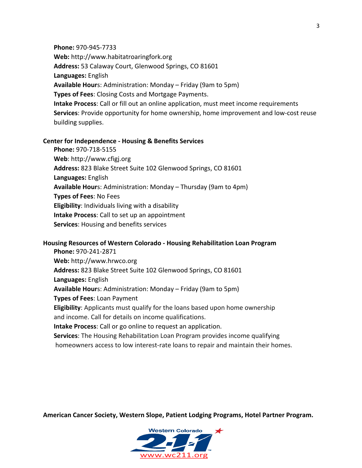**Phone:** 970-945-7733 **Web:** http://www.habitatroaringfork.org Address: 53 Calaway Court, Glenwood Springs, CO 81601 **Languages:** English **Available Hour**s: Administration: Monday – Friday (9am to 5pm) **Types of Fees:** Closing Costs and Mortgage Payments. **Intake Process**: Call or fill out an online application, must meet income requirements **Services**: Provide opportunity for home ownership, home improvement and low-cost reuse building supplies.

## **Center for Independence - Housing & Benefits Services**

**Phone:** 970-718-5155 **Web**: http://www.cfigj.org Address: 823 Blake Street Suite 102 Glenwood Springs, CO 81601 **Languages:** English **Available Hour**s: Administration: Monday – Thursday (9am to 4pm) **Types of Fees: No Fees Eligibility:** Individuals living with a disability **Intake Process:** Call to set up an appointment **Services:** Housing and benefits services

## **Housing Resources of Western Colorado - Housing Rehabilitation Loan Program**

**Phone:** 970-241-2871 **Web:** http://www.hrwco.org Address: 823 Blake Street Suite 102 Glenwood Springs, CO 81601 **Languages:** English **Available Hour**s: Administration: Monday – Friday (9am to 5pm) **Types of Fees: Loan Payment Eligibility:** Applicants must qualify for the loans based upon home ownership and income. Call for details on income qualifications. **Intake Process:** Call or go online to request an application. **Services**: The Housing Rehabilitation Loan Program provides income qualifying homeowners access to low interest-rate loans to repair and maintain their homes.

American Cancer Society, Western Slope, Patient Lodging Programs, Hotel Partner Program.